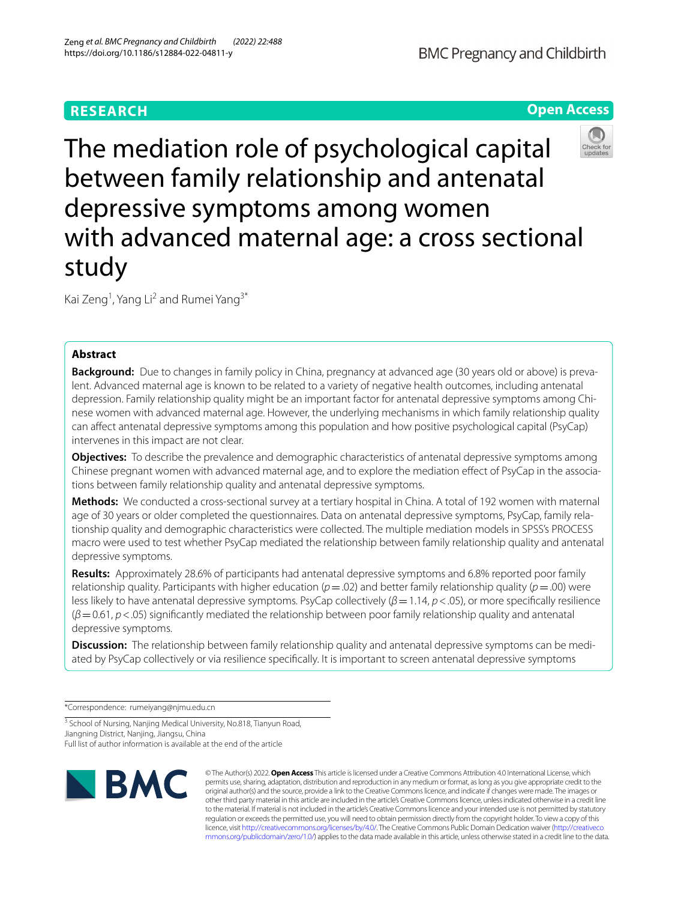# **RESEARCH**

**Open Access**



Kai Zeng<sup>1</sup>, Yang Li<sup>2</sup> and Rumei Yang<sup>3\*</sup>

# **Abstract**

**Background:** Due to changes in family policy in China, pregnancy at advanced age (30 years old or above) is prevalent. Advanced maternal age is known to be related to a variety of negative health outcomes, including antenatal depression. Family relationship quality might be an important factor for antenatal depressive symptoms among Chinese women with advanced maternal age. However, the underlying mechanisms in which family relationship quality can afect antenatal depressive symptoms among this population and how positive psychological capital (PsyCap) intervenes in this impact are not clear.

**Objectives:** To describe the prevalence and demographic characteristics of antenatal depressive symptoms among Chinese pregnant women with advanced maternal age, and to explore the mediation efect of PsyCap in the associations between family relationship quality and antenatal depressive symptoms.

**Methods:** We conducted a cross-sectional survey at a tertiary hospital in China. A total of 192 women with maternal age of 30 years or older completed the questionnaires. Data on antenatal depressive symptoms, PsyCap, family relationship quality and demographic characteristics were collected. The multiple mediation models in SPSS's PROCESS macro were used to test whether PsyCap mediated the relationship between family relationship quality and antenatal depressive symptoms.

**Results:** Approximately 28.6% of participants had antenatal depressive symptoms and 6.8% reported poor family relationship quality. Participants with higher education ( $p = .02$ ) and better family relationship quality ( $p = .00$ ) were less likely to have antenatal depressive symptoms. PsyCap collectively (β = 1.14, *p* < .05), or more specifically resilience (*β*=0.61, *p*<.05) signifcantly mediated the relationship between poor family relationship quality and antenatal depressive symptoms.

**Discussion:** The relationship between family relationship quality and antenatal depressive symptoms can be mediated by PsyCap collectively or via resilience specifcally. It is important to screen antenatal depressive symptoms

\*Correspondence: rumeiyang@njmu.edu.cn

<sup>3</sup> School of Nursing, Nanjing Medical University, No.818, Tianyun Road, Jiangning District, Nanjing, Jiangsu, China Full list of author information is available at the end of the article



© The Author(s) 2022. **Open Access** This article is licensed under a Creative Commons Attribution 4.0 International License, which permits use, sharing, adaptation, distribution and reproduction in any medium or format, as long as you give appropriate credit to the original author(s) and the source, provide a link to the Creative Commons licence, and indicate if changes were made. The images or other third party material in this article are included in the article's Creative Commons licence, unless indicated otherwise in a credit line to the material. If material is not included in the article's Creative Commons licence and your intended use is not permitted by statutory regulation or exceeds the permitted use, you will need to obtain permission directly from the copyright holder. To view a copy of this licence, visit [http://creativecommons.org/licenses/by/4.0/.](http://creativecommons.org/licenses/by/4.0/) The Creative Commons Public Domain Dedication waiver ([http://creativeco](http://creativecommons.org/publicdomain/zero/1.0/) [mmons.org/publicdomain/zero/1.0/](http://creativecommons.org/publicdomain/zero/1.0/)) applies to the data made available in this article, unless otherwise stated in a credit line to the data.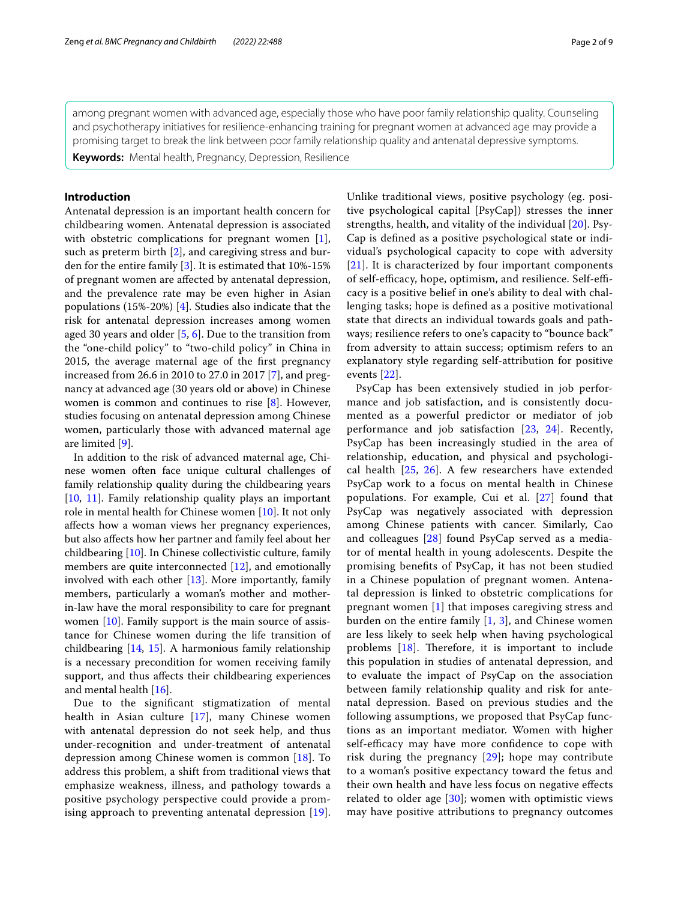among pregnant women with advanced age, especially those who have poor family relationship quality. Counseling and psychotherapy initiatives for resilience-enhancing training for pregnant women at advanced age may provide a promising target to break the link between poor family relationship quality and antenatal depressive symptoms.

**Keywords:** Mental health, Pregnancy, Depression, Resilience

## **Introduction**

Antenatal depression is an important health concern for childbearing women. Antenatal depression is associated with obstetric complications for pregnant women [\[1](#page-7-0)], such as preterm birth [\[2](#page-7-1)], and caregiving stress and burden for the entire family [[3\]](#page-7-2). It is estimated that 10%-15% of pregnant women are afected by antenatal depression, and the prevalence rate may be even higher in Asian populations (15%-20%) [[4\]](#page-7-3). Studies also indicate that the risk for antenatal depression increases among women aged 30 years and older [\[5](#page-7-4), [6\]](#page-7-5). Due to the transition from the "one-child policy" to "two-child policy" in China in 2015, the average maternal age of the frst pregnancy increased from 26.6 in 2010 to 27.0 in 2017 [\[7](#page-7-6)], and pregnancy at advanced age (30 years old or above) in Chinese women is common and continues to rise [[8\]](#page-7-7). However, studies focusing on antenatal depression among Chinese women, particularly those with advanced maternal age are limited [[9\]](#page-7-8).

In addition to the risk of advanced maternal age, Chinese women often face unique cultural challenges of family relationship quality during the childbearing years [[10,](#page-7-9) [11\]](#page-7-10). Family relationship quality plays an important role in mental health for Chinese women [\[10\]](#page-7-9). It not only afects how a woman views her pregnancy experiences, but also afects how her partner and family feel about her childbearing [\[10](#page-7-9)]. In Chinese collectivistic culture, family members are quite interconnected [[12](#page-8-0)], and emotionally involved with each other  $[13]$ . More importantly, family members, particularly a woman's mother and motherin-law have the moral responsibility to care for pregnant women [\[10](#page-7-9)]. Family support is the main source of assistance for Chinese women during the life transition of childbearing [[14,](#page-8-2) [15](#page-8-3)]. A harmonious family relationship is a necessary precondition for women receiving family support, and thus afects their childbearing experiences and mental health [[16\]](#page-8-4).

Due to the signifcant stigmatization of mental health in Asian culture [[17\]](#page-8-5), many Chinese women with antenatal depression do not seek help, and thus under-recognition and under-treatment of antenatal depression among Chinese women is common [[18\]](#page-8-6). To address this problem, a shift from traditional views that emphasize weakness, illness, and pathology towards a positive psychology perspective could provide a promising approach to preventing antenatal depression [[19](#page-8-7)]. Unlike traditional views, positive psychology (eg. positive psychological capital [PsyCap]) stresses the inner strengths, health, and vitality of the individual [[20\]](#page-8-8). Psy-Cap is defned as a positive psychological state or individual's psychological capacity to cope with adversity [[21](#page-8-9)]. It is characterized by four important components of self-efficacy, hope, optimism, and resilience. Self-efficacy is a positive belief in one's ability to deal with challenging tasks; hope is defned as a positive motivational state that directs an individual towards goals and pathways; resilience refers to one's capacity to "bounce back" from adversity to attain success; optimism refers to an explanatory style regarding self-attribution for positive events [\[22](#page-8-10)].

PsyCap has been extensively studied in job performance and job satisfaction, and is consistently documented as a powerful predictor or mediator of job performance and job satisfaction [\[23](#page-8-11), [24](#page-8-12)]. Recently, PsyCap has been increasingly studied in the area of relationship, education, and physical and psychological health  $[25, 26]$  $[25, 26]$  $[25, 26]$ . A few researchers have extended PsyCap work to a focus on mental health in Chinese populations. For example, Cui et al. [[27](#page-8-15)] found that PsyCap was negatively associated with depression among Chinese patients with cancer. Similarly, Cao and colleagues [[28](#page-8-16)] found PsyCap served as a mediator of mental health in young adolescents. Despite the promising benefts of PsyCap, it has not been studied in a Chinese population of pregnant women. Antenatal depression is linked to obstetric complications for pregnant women [\[1](#page-7-0)] that imposes caregiving stress and burden on the entire family [\[1](#page-7-0), [3\]](#page-7-2), and Chinese women are less likely to seek help when having psychological problems  $[18]$  $[18]$ . Therefore, it is important to include this population in studies of antenatal depression, and to evaluate the impact of PsyCap on the association between family relationship quality and risk for antenatal depression. Based on previous studies and the following assumptions, we proposed that PsyCap functions as an important mediator. Women with higher self-efficacy may have more confidence to cope with risk during the pregnancy [[29](#page-8-17)]; hope may contribute to a woman's positive expectancy toward the fetus and their own health and have less focus on negative efects related to older age  $[30]$  $[30]$ ; women with optimistic views may have positive attributions to pregnancy outcomes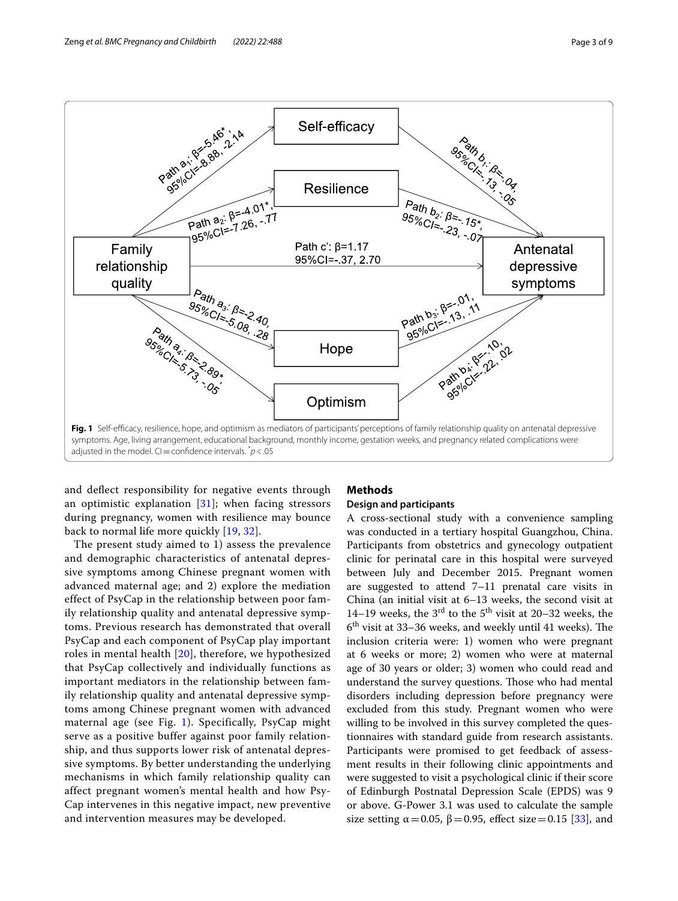

<span id="page-2-0"></span>and defect responsibility for negative events through an optimistic explanation  $[31]$  $[31]$  $[31]$ ; when facing stressors during pregnancy, women with resilience may bounce back to normal life more quickly [[19](#page-8-7), [32\]](#page-8-20).

The present study aimed to 1) assess the prevalence and demographic characteristics of antenatal depressive symptoms among Chinese pregnant women with advanced maternal age; and 2) explore the mediation effect of PsyCap in the relationship between poor family relationship quality and antenatal depressive symptoms. Previous research has demonstrated that overall PsyCap and each component of PsyCap play important roles in mental health [[20\]](#page-8-8), therefore, we hypothesized that PsyCap collectively and individually functions as important mediators in the relationship between family relationship quality and antenatal depressive symptoms among Chinese pregnant women with advanced maternal age (see Fig. [1](#page-2-0)). Specifically, PsyCap might serve as a positive buffer against poor family relationship, and thus supports lower risk of antenatal depressive symptoms. By better understanding the underlying mechanisms in which family relationship quality can affect pregnant women's mental health and how Psy-Cap intervenes in this negative impact, new preventive and intervention measures may be developed.

# **Methods**

## **Design and participants**

A cross-sectional study with a convenience sampling was conducted in a tertiary hospital Guangzhou, China. Participants from obstetrics and gynecology outpatient clinic for perinatal care in this hospital were surveyed between July and December 2015. Pregnant women are suggested to attend 7–11 prenatal care visits in China (an initial visit at 6–13 weeks, the second visit at 14–19 weeks, the  $3<sup>rd</sup>$  to the  $5<sup>th</sup>$  visit at 20–32 weeks, the  $6<sup>th</sup>$  visit at 33–36 weeks, and weekly until 41 weeks). The inclusion criteria were: 1) women who were pregnant at 6 weeks or more; 2) women who were at maternal age of 30 years or older; 3) women who could read and understand the survey questions. Those who had mental disorders including depression before pregnancy were excluded from this study. Pregnant women who were willing to be involved in this survey completed the questionnaires with standard guide from research assistants. Participants were promised to get feedback of assessment results in their following clinic appointments and were suggested to visit a psychological clinic if their score of Edinburgh Postnatal Depression Scale (EPDS) was 9 or above. G-Power 3.1 was used to calculate the sample size setting  $\alpha$  = 0.05,  $\beta$  = 0.95, effect size = 0.15 [[33\]](#page-8-21), and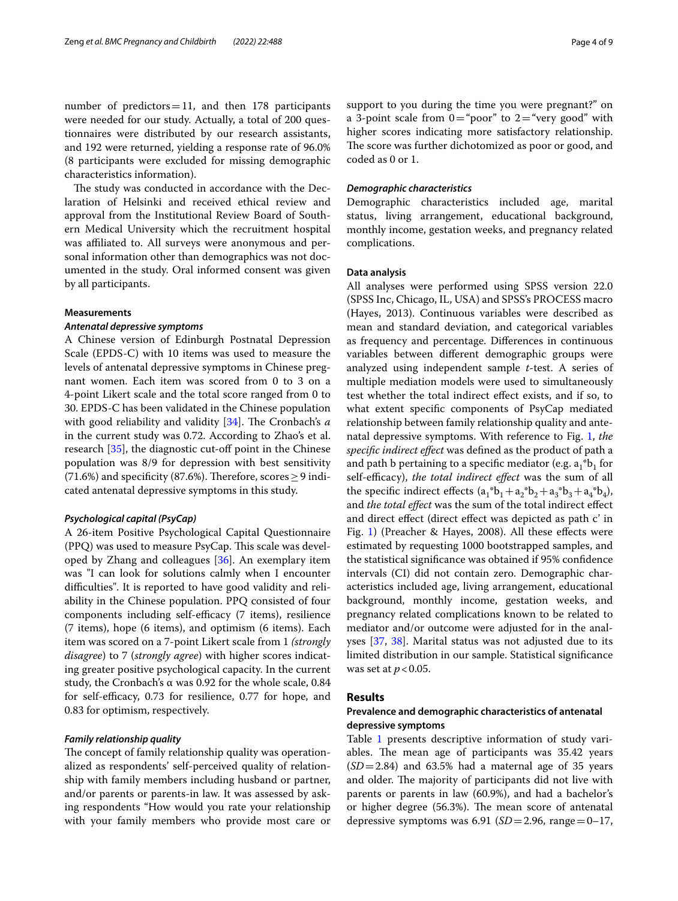number of predictors  $=11$ , and then 178 participants were needed for our study. Actually, a total of 200 questionnaires were distributed by our research assistants, and 192 were returned, yielding a response rate of 96.0% (8 participants were excluded for missing demographic characteristics information).

The study was conducted in accordance with the Declaration of Helsinki and received ethical review and approval from the Institutional Review Board of Southern Medical University which the recruitment hospital was affiliated to. All surveys were anonymous and personal information other than demographics was not documented in the study. Oral informed consent was given by all participants.

#### **Measurements**

#### *Antenatal depressive symptoms*

A Chinese version of Edinburgh Postnatal Depression Scale (EPDS-C) with 10 items was used to measure the levels of antenatal depressive symptoms in Chinese pregnant women. Each item was scored from 0 to 3 on a 4-point Likert scale and the total score ranged from 0 to 30. EPDS-C has been validated in the Chinese population with good reliability and validity [\[34](#page-8-22)]. The Cronbach's a in the current study was 0.72. According to Zhao's et al. research [\[35](#page-8-23)], the diagnostic cut-off point in the Chinese population was 8/9 for depression with best sensitivity (71.6%) and specificity (87.6%). Therefore, scores  $\geq$  9 indicated antenatal depressive symptoms in this study.

#### *Psychological capital (PsyCap)*

A 26-item Positive Psychological Capital Questionnaire (PPQ) was used to measure PsyCap. This scale was developed by Zhang and colleagues [\[36](#page-8-24)]. An exemplary item was "I can look for solutions calmly when I encounter difficulties". It is reported to have good validity and reliability in the Chinese population. PPQ consisted of four components including self-efficacy (7 items), resilience (7 items), hope (6 items), and optimism (6 items). Each item was scored on a 7-point Likert scale from 1 *(strongly disagree*) to 7 (*strongly agree*) with higher scores indicating greater positive psychological capacity. In the current study, the Cronbach's α was 0.92 for the whole scale, 0.84 for self-efficacy, 0.73 for resilience, 0.77 for hope, and 0.83 for optimism, respectively.

### *Family relationship quality*

The concept of family relationship quality was operationalized as respondents' self-perceived quality of relationship with family members including husband or partner, and/or parents or parents-in law. It was assessed by asking respondents "How would you rate your relationship with your family members who provide most care or support to you during the time you were pregnant?" on a 3-point scale from  $0=$  "poor" to  $2=$  "very good" with higher scores indicating more satisfactory relationship. The score was further dichotomized as poor or good, and coded as 0 or 1.

## *Demographic characteristics*

Demographic characteristics included age, marital status, living arrangement, educational background, monthly income, gestation weeks, and pregnancy related complications.

### **Data analysis**

All analyses were performed using SPSS version 22.0 (SPSS Inc, Chicago, IL, USA) and SPSS's PROCESS macro (Hayes, 2013). Continuous variables were described as mean and standard deviation, and categorical variables as frequency and percentage. Diferences in continuous variables between diferent demographic groups were analyzed using independent sample *t*-test. A series of multiple mediation models were used to simultaneously test whether the total indirect efect exists, and if so, to what extent specifc components of PsyCap mediated relationship between family relationship quality and antenatal depressive symptoms. With reference to Fig. [1,](#page-2-0) *the specifc indirect efect* was defned as the product of path a and path b pertaining to a specific mediator (e.g.  $a_1^*b_1$  for self-efficacy), *the total indirect effect* was the sum of all the specific indirect effects  $(a_1^*b_1 + a_2^*b_2 + a_3^*b_3 + a_4^*b_4)$ , and *the total efect* was the sum of the total indirect efect and direct efect (direct efect was depicted as path c' in Fig. [1](#page-2-0)) (Preacher & Hayes, 2008). All these efects were estimated by requesting 1000 bootstrapped samples, and the statistical signifcance was obtained if 95% confdence intervals (CI) did not contain zero. Demographic characteristics included age, living arrangement, educational background, monthly income, gestation weeks, and pregnancy related complications known to be related to mediator and/or outcome were adjusted for in the analyses [\[37](#page-8-25), [38\]](#page-8-26). Marital status was not adjusted due to its limited distribution in our sample. Statistical signifcance was set at *p* < 0.05.

## **Results**

## **Prevalence and demographic characteristics of antenatal depressive symptoms**

Table [1](#page-4-0) presents descriptive information of study variables. The mean age of participants was 35.42 years  $(SD=2.84)$  and 63.5% had a maternal age of 35 years and older. The majority of participants did not live with parents or parents in law (60.9%), and had a bachelor's or higher degree (56.3%). The mean score of antenatal depressive symptoms was  $6.91$  (*SD*=2.96, range=0–17,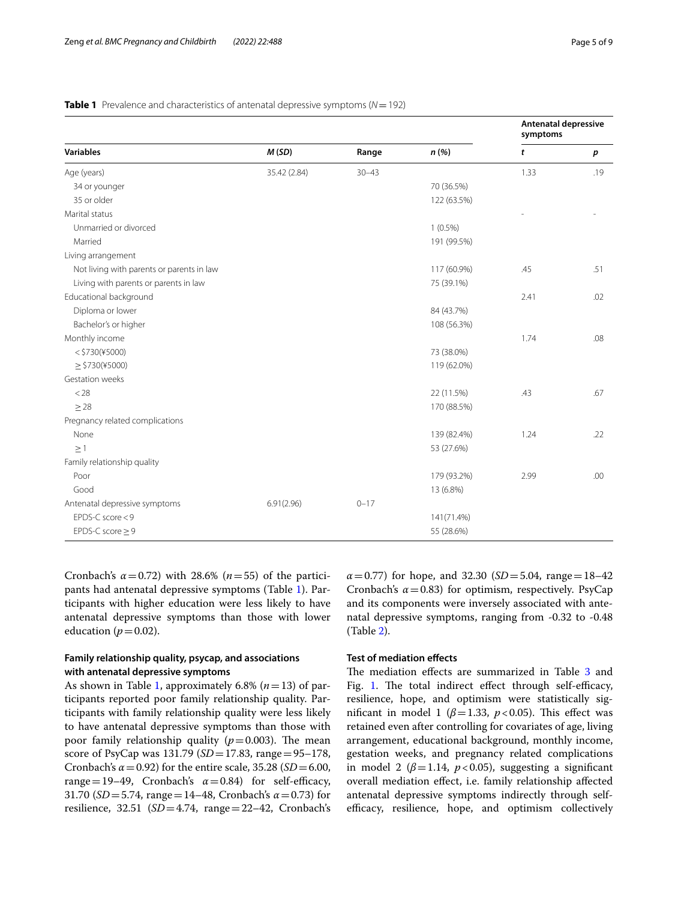|                                           |              |           |             | <b>Antenatal depressive</b><br>symptoms |                  |
|-------------------------------------------|--------------|-----------|-------------|-----------------------------------------|------------------|
| <b>Variables</b>                          | M(SD)        | Range     | n(%)        | t                                       | $\boldsymbol{p}$ |
| Age (years)                               | 35.42 (2.84) | $30 - 43$ |             | 1.33                                    | .19              |
| 34 or younger                             |              |           | 70 (36.5%)  |                                         |                  |
| 35 or older                               |              |           | 122 (63.5%) |                                         |                  |
| Marital status                            |              |           |             |                                         |                  |
| Unmarried or divorced                     |              |           | $1(0.5\%)$  |                                         |                  |
| Married                                   |              |           | 191 (99.5%) |                                         |                  |
| Living arrangement                        |              |           |             |                                         |                  |
| Not living with parents or parents in law |              |           | 117 (60.9%) | .45                                     | .51              |
| Living with parents or parents in law     |              |           | 75 (39.1%)  |                                         |                  |
| Educational background                    |              |           |             | 2.41                                    | .02              |
| Diploma or lower                          |              |           | 84 (43.7%)  |                                         |                  |
| Bachelor's or higher                      |              |           | 108 (56.3%) |                                         |                  |
| Monthly income                            |              |           |             | 1.74                                    | .08              |
| $<$ \$730(¥5000)                          |              |           | 73 (38.0%)  |                                         |                  |
| $\ge$ \$730(¥5000)                        |              |           | 119 (62.0%) |                                         |                  |
| Gestation weeks                           |              |           |             |                                         |                  |
| < 28                                      |              |           | 22 (11.5%)  | .43                                     | .67              |
| > 28                                      |              |           | 170 (88.5%) |                                         |                  |
| Pregnancy related complications           |              |           |             |                                         |                  |
| None                                      |              |           | 139 (82.4%) | 1.24                                    | .22              |
| $\geq$ 1                                  |              |           | 53 (27.6%)  |                                         |                  |
| Family relationship quality               |              |           |             |                                         |                  |
| Poor                                      |              |           | 179 (93.2%) | 2.99                                    | .00              |
| Good                                      |              |           | 13 (6.8%)   |                                         |                  |
| Antenatal depressive symptoms             | 6.91(2.96)   | $0 - 17$  |             |                                         |                  |
| EPDS-C score $<$ 9                        |              |           | 141(71.4%)  |                                         |                  |
| EPDS-C score $\geq$ 9                     |              |           | 55 (28.6%)  |                                         |                  |

## <span id="page-4-0"></span>**Table 1** Prevalence and characteristics of antenatal depressive symptoms ( $N = 192$ )

Cronbach's  $\alpha$ =0.72) with 28.6% ( $n$ =55) of the participants had antenatal depressive symptoms (Table [1](#page-4-0)). Participants with higher education were less likely to have antenatal depressive symptoms than those with lower education  $(p=0.02)$ .

# **Family relationship quality, psycap, and associations with antenatal depressive symptoms**

As shown in Table [1,](#page-4-0) approximately 6.8% (*n*=13) of participants reported poor family relationship quality. Participants with family relationship quality were less likely to have antenatal depressive symptoms than those with poor family relationship quality  $(p=0.003)$ . The mean score of PsyCap was 131.79 (*SD*=17.83, range=95–178, Cronbach's  $\alpha$  = 0.92) for the entire scale, 35.28 (*SD* = 6.00, range = 19–49, Cronbach's  $\alpha$  = 0.84) for self-efficacy, 31.70 (*SD*=5.74, range=14–48, Cronbach's *α*=0.73) for resilience, 32.51 (*SD*=4.74, range=22–42, Cronbach's  $\alpha$  = 0.77) for hope, and 32.30 (*SD* = 5.04, range = 18–42 Cronbach's  $\alpha$  = 0.83) for optimism, respectively. PsyCap and its components were inversely associated with antenatal depressive symptoms, ranging from -0.32 to -0.48 (Table [2\)](#page-5-0).

# **Test of mediation efects**

The mediation effects are summarized in Table [3](#page-5-1) and Fig. [1](#page-2-0). The total indirect effect through self-efficacy, resilience, hope, and optimism were statistically significant in model 1 ( $\beta$ =1.33,  $p$  < 0.05). This effect was retained even after controlling for covariates of age, living arrangement, educational background, monthly income, gestation weeks, and pregnancy related complications in model 2 ( $\beta$ =1.14,  $p$  < 0.05), suggesting a significant overall mediation efect, i.e. family relationship afected antenatal depressive symptoms indirectly through selfefficacy, resilience, hope, and optimism collectively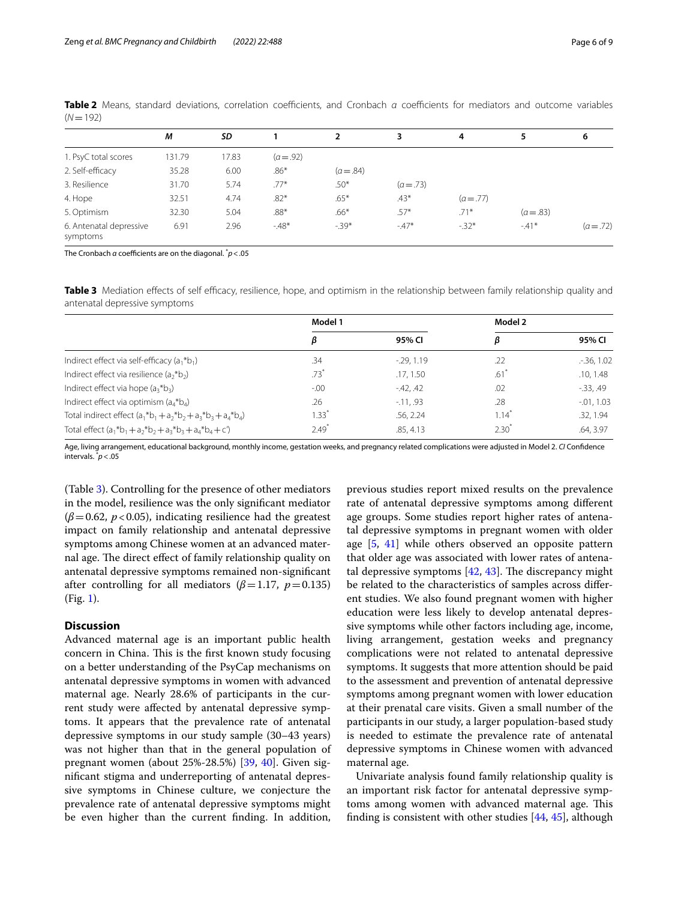|                                     | M      | SD    |             | $\overline{2}$ | 3         | 4           | 5         | 6           |
|-------------------------------------|--------|-------|-------------|----------------|-----------|-------------|-----------|-------------|
| 1. PsyC total scores                | 131.79 | 17.83 | $(a = .92)$ |                |           |             |           |             |
| 2. Self-efficacy                    | 35.28  | 6.00  | $.86*$      | $(a = .84)$    |           |             |           |             |
| 3. Resilience                       | 31.70  | 5.74  | $.77*$      | $.50*$         | $(a=.73)$ |             |           |             |
| 4. Hope                             | 32.51  | 4.74  | $.82*$      | $.65*$         | $.43*$    | $(a = .77)$ |           |             |
| 5. Optimism                         | 32.30  | 5.04  | $.88*$      | $.66*$         | $.57*$    | $.71*$      | $(a=.83)$ |             |
| 6. Antenatal depressive<br>symptoms | 6.91   | 2.96  | $-48*$      | $-39*$         | $-.47*$   | $-32*$      | $-41*$    | $(a = .72)$ |

<span id="page-5-0"></span>**Table 2** Means, standard deviations, correlation coefficients, and Cronbach *α* coefficients for mediators and outcome variables (*N*=192)

The Cronbach *α* coefcients are on the diagonal. \* *p*<.05

<span id="page-5-1"></span>**Table 3** Mediation effects of self efficacy, resilience, hope, and optimism in the relationship between family relationship quality and antenatal depressive symptoms

|                                                                         | Model 1             |             | Model 2    |               |
|-------------------------------------------------------------------------|---------------------|-------------|------------|---------------|
|                                                                         | ß                   | 95% CI      |            | 95% CI        |
| Indirect effect via self-efficacy $(a_1 * b_1)$                         | .34                 | $-29, 1.19$ | .22        | .36, 1.02     |
| Indirect effect via resilience (a <sub>2</sub> *b <sub>2</sub> )        | .73 <sup>′</sup>    | .17, 1.50   | $.61^*$    | .10, 1.48     |
| Indirect effect via hope (a <sub>3</sub> *b <sub>3</sub> )              | $-.00$              | $-42, 42$   | .02        | $-33, .49$    |
| Indirect effect via optimism $(a4*b4)$                                  | .26                 | $-11.93$    | .28        | $-0.01, 1.03$ |
| Total indirect effect $(a_1 * b_1 + a_2 * b_2 + a_3 * b_3 + a_4 * b_4)$ | $1.33$ <sup>*</sup> | .56.2.24    | 1.14       | .32, 1.94     |
| Total effect $(a_1 * b_1 + a_2 * b_2 + a_3 * b_3 + a_4 * b_4 + c')$     | $2.49*$             | .85, 4.13   | $2.30^{*}$ | .64, 3.97     |

Age, living arrangement, educational background, monthly income, gestation weeks, and pregnancy related complications were adjusted in Model 2. *CI* Confdence intervals. \* *p*<.05

(Table [3\)](#page-5-1). Controlling for the presence of other mediators in the model, resilience was the only signifcant mediator  $(\beta = 0.62, p < 0.05)$ , indicating resilience had the greatest impact on family relationship and antenatal depressive symptoms among Chinese women at an advanced maternal age. The direct effect of family relationship quality on antenatal depressive symptoms remained non-signifcant after controlling for all mediators  $(\beta = 1.17, p = 0.135)$ (Fig. [1\)](#page-2-0).

## **Discussion**

Advanced maternal age is an important public health concern in China. This is the first known study focusing on a better understanding of the PsyCap mechanisms on antenatal depressive symptoms in women with advanced maternal age. Nearly 28.6% of participants in the current study were afected by antenatal depressive symptoms. It appears that the prevalence rate of antenatal depressive symptoms in our study sample (30–43 years) was not higher than that in the general population of pregnant women (about 25%-28.5%) [\[39,](#page-8-27) [40](#page-8-28)]. Given signifcant stigma and underreporting of antenatal depressive symptoms in Chinese culture, we conjecture the prevalence rate of antenatal depressive symptoms might be even higher than the current fnding. In addition, previous studies report mixed results on the prevalence rate of antenatal depressive symptoms among diferent age groups. Some studies report higher rates of antenatal depressive symptoms in pregnant women with older age [\[5](#page-7-4), [41\]](#page-8-29) while others observed an opposite pattern that older age was associated with lower rates of antenatal depressive symptoms  $[42, 43]$  $[42, 43]$  $[42, 43]$  $[42, 43]$ . The discrepancy might be related to the characteristics of samples across diferent studies. We also found pregnant women with higher education were less likely to develop antenatal depressive symptoms while other factors including age, income, living arrangement, gestation weeks and pregnancy complications were not related to antenatal depressive symptoms. It suggests that more attention should be paid to the assessment and prevention of antenatal depressive symptoms among pregnant women with lower education at their prenatal care visits. Given a small number of the participants in our study, a larger population-based study is needed to estimate the prevalence rate of antenatal depressive symptoms in Chinese women with advanced maternal age.

Univariate analysis found family relationship quality is an important risk factor for antenatal depressive symptoms among women with advanced maternal age. This fnding is consistent with other studies [[44](#page-8-32), [45](#page-8-33)], although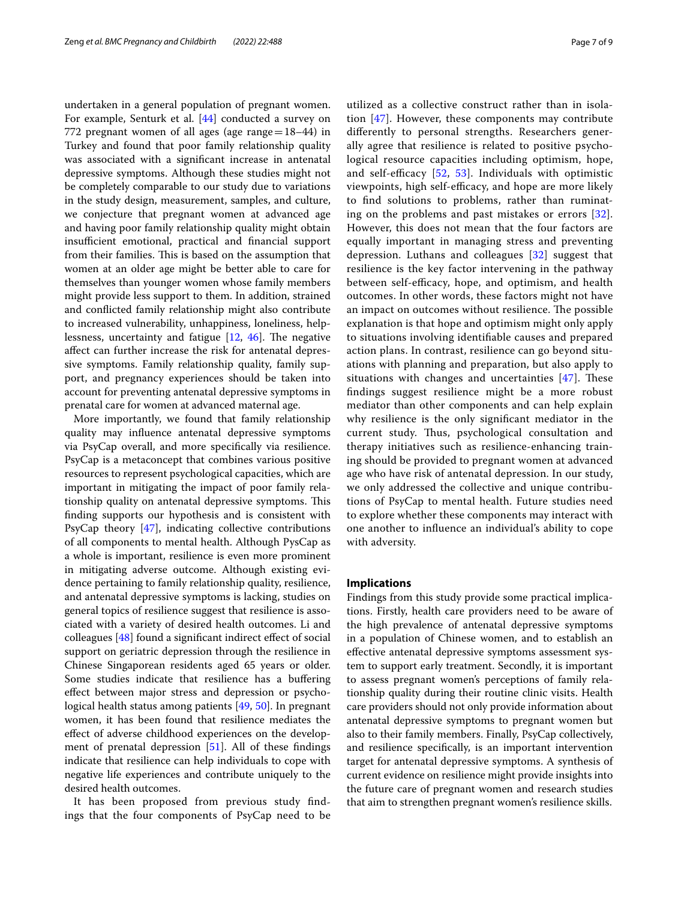undertaken in a general population of pregnant women. For example, Senturk et al. [[44](#page-8-32)] conducted a survey on 772 pregnant women of all ages (age range $=18-44$ ) in Turkey and found that poor family relationship quality was associated with a signifcant increase in antenatal depressive symptoms. Although these studies might not be completely comparable to our study due to variations in the study design, measurement, samples, and culture, we conjecture that pregnant women at advanced age and having poor family relationship quality might obtain insufficient emotional, practical and financial support from their families. This is based on the assumption that women at an older age might be better able to care for themselves than younger women whose family members might provide less support to them. In addition, strained and conficted family relationship might also contribute to increased vulnerability, unhappiness, loneliness, helplessness, uncertainty and fatigue  $[12, 46]$  $[12, 46]$  $[12, 46]$  $[12, 46]$ . The negative afect can further increase the risk for antenatal depressive symptoms. Family relationship quality, family support, and pregnancy experiences should be taken into account for preventing antenatal depressive symptoms in prenatal care for women at advanced maternal age.

More importantly, we found that family relationship quality may infuence antenatal depressive symptoms via PsyCap overall, and more specifcally via resilience. PsyCap is a metaconcept that combines various positive resources to represent psychological capacities, which are important in mitigating the impact of poor family relationship quality on antenatal depressive symptoms. This fnding supports our hypothesis and is consistent with PsyCap theory [\[47](#page-8-35)], indicating collective contributions of all components to mental health. Although PysCap as a whole is important, resilience is even more prominent in mitigating adverse outcome. Although existing evidence pertaining to family relationship quality, resilience, and antenatal depressive symptoms is lacking, studies on general topics of resilience suggest that resilience is associated with a variety of desired health outcomes. Li and colleagues [\[48](#page-8-36)] found a significant indirect effect of social support on geriatric depression through the resilience in Chinese Singaporean residents aged 65 years or older. Some studies indicate that resilience has a buffering efect between major stress and depression or psychological health status among patients [[49,](#page-8-37) [50](#page-8-38)]. In pregnant women, it has been found that resilience mediates the efect of adverse childhood experiences on the development of prenatal depression [[51\]](#page-8-39). All of these fndings indicate that resilience can help individuals to cope with negative life experiences and contribute uniquely to the desired health outcomes.

It has been proposed from previous study fndings that the four components of PsyCap need to be

utilized as a collective construct rather than in isolation [[47\]](#page-8-35). However, these components may contribute diferently to personal strengths. Researchers generally agree that resilience is related to positive psychological resource capacities including optimism, hope, and self-efficacy  $[52, 53]$  $[52, 53]$  $[52, 53]$  $[52, 53]$  $[52, 53]$ . Individuals with optimistic viewpoints, high self-efficacy, and hope are more likely to fnd solutions to problems, rather than ruminating on the problems and past mistakes or errors [[32\]](#page-8-20). However, this does not mean that the four factors are equally important in managing stress and preventing depression. Luthans and colleagues [[32](#page-8-20)] suggest that resilience is the key factor intervening in the pathway between self-efficacy, hope, and optimism, and health outcomes. In other words, these factors might not have an impact on outcomes without resilience. The possible explanation is that hope and optimism might only apply to situations involving identifable causes and prepared action plans. In contrast, resilience can go beyond situations with planning and preparation, but also apply to situations with changes and uncertainties  $[47]$  $[47]$ . These fndings suggest resilience might be a more robust mediator than other components and can help explain why resilience is the only signifcant mediator in the current study. Thus, psychological consultation and therapy initiatives such as resilience-enhancing training should be provided to pregnant women at advanced age who have risk of antenatal depression. In our study, we only addressed the collective and unique contributions of PsyCap to mental health. Future studies need to explore whether these components may interact with one another to infuence an individual's ability to cope with adversity.

## **Implications**

Findings from this study provide some practical implications. Firstly, health care providers need to be aware of the high prevalence of antenatal depressive symptoms in a population of Chinese women, and to establish an efective antenatal depressive symptoms assessment system to support early treatment. Secondly, it is important to assess pregnant women's perceptions of family relationship quality during their routine clinic visits. Health care providers should not only provide information about antenatal depressive symptoms to pregnant women but also to their family members. Finally, PsyCap collectively, and resilience specifcally, is an important intervention target for antenatal depressive symptoms. A synthesis of current evidence on resilience might provide insights into the future care of pregnant women and research studies that aim to strengthen pregnant women's resilience skills.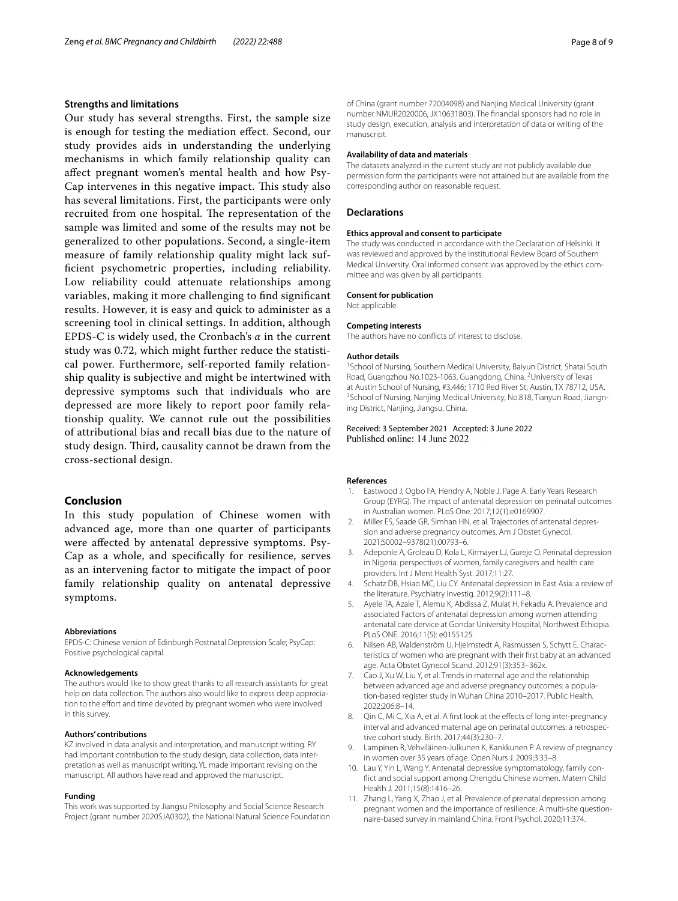### **Strengths and limitations**

Our study has several strengths. First, the sample size is enough for testing the mediation efect. Second, our study provides aids in understanding the underlying mechanisms in which family relationship quality can afect pregnant women's mental health and how Psy-Cap intervenes in this negative impact. This study also has several limitations. First, the participants were only recruited from one hospital. The representation of the sample was limited and some of the results may not be generalized to other populations. Second, a single-item measure of family relationship quality might lack suffcient psychometric properties, including reliability. Low reliability could attenuate relationships among variables, making it more challenging to fnd signifcant results. However, it is easy and quick to administer as a screening tool in clinical settings. In addition, although EPDS-C is widely used, the Cronbach's *α* in the current study was 0.72, which might further reduce the statistical power. Furthermore, self-reported family relationship quality is subjective and might be intertwined with depressive symptoms such that individuals who are depressed are more likely to report poor family relationship quality. We cannot rule out the possibilities of attributional bias and recall bias due to the nature of study design. Third, causality cannot be drawn from the cross-sectional design.

### **Conclusion**

In this study population of Chinese women with advanced age, more than one quarter of participants were afected by antenatal depressive symptoms. Psy-Cap as a whole, and specifcally for resilience, serves as an intervening factor to mitigate the impact of poor family relationship quality on antenatal depressive symptoms.

#### **Abbreviations**

EPDS-C: Chinese version of Edinburgh Postnatal Depression Scale; PsyCap: Positive psychological capital.

#### **Acknowledgements**

The authors would like to show great thanks to all research assistants for great help on data collection. The authors also would like to express deep appreciation to the effort and time devoted by pregnant women who were involved in this survey.

#### **Authors' contributions**

KZ involved in data analysis and interpretation, and manuscript writing. RY had important contribution to the study design, data collection, data interpretation as well as manuscript writing. YL made important revising on the manuscript. All authors have read and approved the manuscript.

#### **Funding**

This work was supported by Jiangsu Philosophy and Social Science Research Project (grant number 2020SJA0302), the National Natural Science Foundation of China (grant number 72004098) and Nanjing Medical University (grant number NMUR2020006, JX10631803). The fnancial sponsors had no role in study design, execution, analysis and interpretation of data or writing of the manuscript.

#### **Availability of data and materials**

The datasets analyzed in the current study are not publicly available due permission form the participants were not attained but are available from the corresponding author on reasonable request.

#### **Declarations**

#### **Ethics approval and consent to participate**

The study was conducted in accordance with the Declaration of Helsinki. It was reviewed and approved by the Institutional Review Board of Southern Medical University. Oral informed consent was approved by the ethics committee and was given by all participants.

#### **Consent for publication**

Not applicable.

#### **Competing interests**

The authors have no conficts of interest to disclose.

#### **Author details**

<sup>1</sup> School of Nursing, Southern Medical University, Baiyun District, Shatai South Road, Guangzhou No.1023-1063, Guangdong, China. <sup>2</sup>University of Texas at Austin School of Nursing, #3.446; 1710 Red River St, Austin, TX 78712, USA. 3 <sup>3</sup>School of Nursing, Nanjing Medical University, No.818, Tianyun Road, Jiangning District, Nanjing, Jiangsu, China.

## Received: 3 September 2021 Accepted: 3 June 2022 Published online: 14 June 2022

#### **References**

- <span id="page-7-0"></span>Eastwood J, Ogbo FA, Hendry A, Noble J, Page A. Early Years Research Group (EYRG). The impact of antenatal depression on perinatal outcomes in Australian women. PLoS One. 2017;12(1):e0169907.
- <span id="page-7-1"></span>2. Miller ES, Saade GR, Simhan HN, et al. Trajectories of antenatal depression and adverse pregnancy outcomes. Am J Obstet Gynecol. 2021;S0002–9378(21):00793–6.
- <span id="page-7-2"></span>3. Adeponle A, Groleau D, Kola L, Kirmayer LJ, Gureje O. Perinatal depression in Nigeria: perspectives of women, family caregivers and health care providers. Int J Ment Health Syst. 2017;11:27.
- <span id="page-7-3"></span>4. Schatz DB, Hsiao MC, Liu CY. Antenatal depression in East Asia: a review of the literature. Psychiatry Investig. 2012;9(2):111–8.
- <span id="page-7-4"></span>5. Ayele TA, Azale T, Alemu K, Abdissa Z, Mulat H, Fekadu A. Prevalence and associated Factors of antenatal depression among women attending antenatal care dervice at Gondar University Hospital, Northwest Ethiopia. PLoS ONE. 2016;11(5): e0155125.
- <span id="page-7-5"></span>6. Nilsen AB, Waldenström U, Hjelmstedt A, Rasmussen S, Schytt E. Characteristics of women who are pregnant with their frst baby at an advanced age. Acta Obstet Gynecol Scand. 2012;91(3):353–362x.
- <span id="page-7-6"></span>7. Cao J, Xu W, Liu Y, et al. Trends in maternal age and the relationship between advanced age and adverse pregnancy outcomes: a population-based register study in Wuhan China 2010–2017. Public Health. 2022;206:8–14.
- <span id="page-7-7"></span>8. Qin C, Mi C, Xia A, et al. A first look at the effects of long inter-pregnancy interval and advanced maternal age on perinatal outcomes: a retrospective cohort study. Birth. 2017;44(3):230–7.
- <span id="page-7-8"></span>9. Lampinen R, Vehviläinen-Julkunen K, Kankkunen P. A review of pregnancy in women over 35 years of age. Open Nurs J. 2009;3:33–8.
- <span id="page-7-9"></span>10. Lau Y, Yin L, Wang Y. Antenatal depressive symptomatology, family confict and social support among Chengdu Chinese women. Matern Child Health J. 2011;15(8):1416–26.
- <span id="page-7-10"></span>11. Zhang L, Yang X, Zhao J, et al. Prevalence of prenatal depression among pregnant women and the importance of resilience: A multi-site questionnaire-based survey in mainland China. Front Psychol. 2020;11:374.